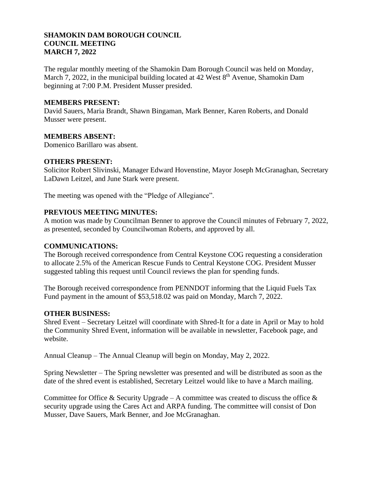### **SHAMOKIN DAM BOROUGH COUNCIL COUNCIL MEETING MARCH 7, 2022**

The regular monthly meeting of the Shamokin Dam Borough Council was held on Monday, March 7, 2022, in the municipal building located at 42 West 8<sup>th</sup> Avenue, Shamokin Dam beginning at 7:00 P.M. President Musser presided.

### **MEMBERS PRESENT:**

David Sauers, Maria Brandt, Shawn Bingaman, Mark Benner, Karen Roberts, and Donald Musser were present.

### **MEMBERS ABSENT:**

Domenico Barillaro was absent.

#### **OTHERS PRESENT:**

Solicitor Robert Slivinski, Manager Edward Hovenstine, Mayor Joseph McGranaghan, Secretary LaDawn Leitzel, and June Stark were present.

The meeting was opened with the "Pledge of Allegiance".

### **PREVIOUS MEETING MINUTES:**

A motion was made by Councilman Benner to approve the Council minutes of February 7, 2022, as presented, seconded by Councilwoman Roberts, and approved by all.

#### **COMMUNICATIONS:**

The Borough received correspondence from Central Keystone COG requesting a consideration to allocate 2.5% of the American Rescue Funds to Central Keystone COG. President Musser suggested tabling this request until Council reviews the plan for spending funds.

The Borough received correspondence from PENNDOT informing that the Liquid Fuels Tax Fund payment in the amount of \$53,518.02 was paid on Monday, March 7, 2022.

## **OTHER BUSINESS:**

Shred Event – Secretary Leitzel will coordinate with Shred-It for a date in April or May to hold the Community Shred Event, information will be available in newsletter, Facebook page, and website.

Annual Cleanup – The Annual Cleanup will begin on Monday, May 2, 2022.

Spring Newsletter – The Spring newsletter was presented and will be distributed as soon as the date of the shred event is established, Secretary Leitzel would like to have a March mailing.

Committee for Office & Security Upgrade – A committee was created to discuss the office  $\&$ security upgrade using the Cares Act and ARPA funding. The committee will consist of Don Musser, Dave Sauers, Mark Benner, and Joe McGranaghan.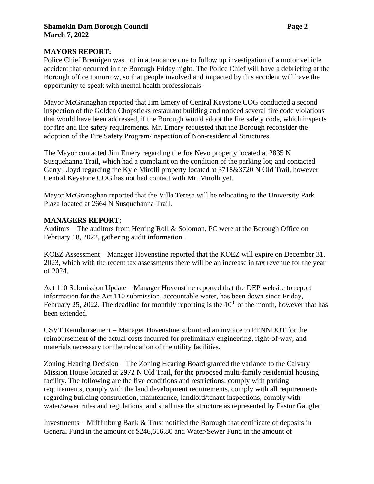### **MAYORS REPORT:**

Police Chief Bremigen was not in attendance due to follow up investigation of a motor vehicle accident that occurred in the Borough Friday night. The Police Chief will have a debriefing at the Borough office tomorrow, so that people involved and impacted by this accident will have the opportunity to speak with mental health professionals.

Mayor McGranaghan reported that Jim Emery of Central Keystone COG conducted a second inspection of the Golden Chopsticks restaurant building and noticed several fire code violations that would have been addressed, if the Borough would adopt the fire safety code, which inspects for fire and life safety requirements. Mr. Emery requested that the Borough reconsider the adoption of the Fire Safety Program/Inspection of Non-residential Structures.

The Mayor contacted Jim Emery regarding the Joe Nevo property located at 2835 N Susquehanna Trail, which had a complaint on the condition of the parking lot; and contacted Gerry Lloyd regarding the Kyle Mirolli property located at 3718&3720 N Old Trail, however Central Keystone COG has not had contact with Mr. Mirolli yet.

Mayor McGranaghan reported that the Villa Teresa will be relocating to the University Park Plaza located at 2664 N Susquehanna Trail.

### **MANAGERS REPORT:**

Auditors – The auditors from Herring Roll & Solomon, PC were at the Borough Office on February 18, 2022, gathering audit information.

KOEZ Assessment – Manager Hovenstine reported that the KOEZ will expire on December 31, 2023, which with the recent tax assessments there will be an increase in tax revenue for the year of 2024.

Act 110 Submission Update – Manager Hovenstine reported that the DEP website to report information for the Act 110 submission, accountable water, has been down since Friday, February 25, 2022. The deadline for monthly reporting is the  $10<sup>th</sup>$  of the month, however that has been extended.

CSVT Reimbursement – Manager Hovenstine submitted an invoice to PENNDOT for the reimbursement of the actual costs incurred for preliminary engineering, right-of-way, and materials necessary for the relocation of the utility facilities.

Zoning Hearing Decision – The Zoning Hearing Board granted the variance to the Calvary Mission House located at 2972 N Old Trail, for the proposed multi-family residential housing facility. The following are the five conditions and restrictions: comply with parking requirements, comply with the land development requirements, comply with all requirements regarding building construction, maintenance, landlord/tenant inspections, comply with water/sewer rules and regulations, and shall use the structure as represented by Pastor Gaugler.

Investments – Mifflinburg Bank & Trust notified the Borough that certificate of deposits in General Fund in the amount of \$246,616.80 and Water/Sewer Fund in the amount of